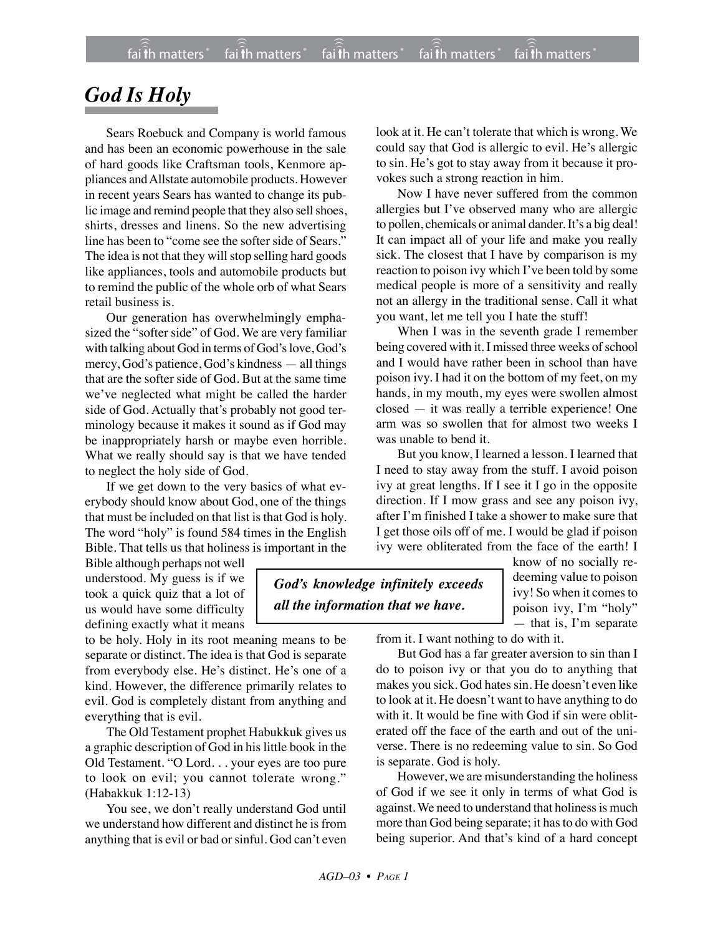## *God Is Holy*

Sears Roebuck and Company is world famous and has been an economic powerhouse in the sale of hard goods like Craftsman tools, Kenmore appliances and Allstate automobile products. However in recent years Sears has wanted to change its public image and remind people that they also sell shoes, shirts, dresses and linens. So the new advertising line has been to "come see the softer side of Sears." The idea is not that they will stop selling hard goods like appliances, tools and automobile products but to remind the public of the whole orb of what Sears retail business is.

Our generation has overwhelmingly emphasized the "softer side" of God. We are very familiar with talking about God in terms of God's love, God's mercy, God's patience, God's kindness — all things that are the softer side of God. But at the same time we've neglected what might be called the harder side of God. Actually that's probably not good terminology because it makes it sound as if God may be inappropriately harsh or maybe even horrible. What we really should say is that we have tended to neglect the holy side of God.

If we get down to the very basics of what everybody should know about God, one of the things that must be included on that list is that God is holy. The word "holy" is found 584 times in the English Bible. That tells us that holiness is important in the

Bible although perhaps not well understood. My guess is if we took a quick quiz that a lot of us would have some difficulty defining exactly what it means

to be holy. Holy in its root meaning means to be separate or distinct. The idea is that God is separate from everybody else. He's distinct. He's one of a kind. However, the difference primarily relates to evil. God is completely distant from anything and everything that is evil.

The Old Testament prophet Habukkuk gives us a graphic description of God in his little book in the Old Testament. "O Lord. . . your eyes are too pure to look on evil; you cannot tolerate wrong." (Habakkuk 1:12-13)

You see, we don't really understand God until we understand how different and distinct he is from anything that is evil or bad or sinful. God can't even look at it. He can't tolerate that which is wrong. We could say that God is allergic to evil. He's allergic to sin. He's got to stay away from it because it provokes such a strong reaction in him.

Now I have never suffered from the common allergies but I've observed many who are allergic to pollen, chemicals or animal dander. It's a big deal! It can impact all of your life and make you really sick. The closest that I have by comparison is my reaction to poison ivy which I've been told by some medical people is more of a sensitivity and really not an allergy in the traditional sense. Call it what you want, let me tell you I hate the stuff!

When I was in the seventh grade I remember being covered with it. I missed three weeks of school and I would have rather been in school than have poison ivy. I had it on the bottom of my feet, on my hands, in my mouth, my eyes were swollen almost closed — it was really a terrible experience! One arm was so swollen that for almost two weeks I was unable to bend it.

But you know, I learned a lesson. I learned that I need to stay away from the stuff. I avoid poison ivy at great lengths. If I see it I go in the opposite direction. If I mow grass and see any poison ivy, after I'm finished I take a shower to make sure that I get those oils off of me. I would be glad if poison ivy were obliterated from the face of the earth! I

*God's knowledge infinitely exceeds all the information that we have.*

know of no socially redeeming value to poison ivy! So when it comes to poison ivy, I'm "holy" — that is, I'm separate

from it. I want nothing to do with it.

But God has a far greater aversion to sin than I do to poison ivy or that you do to anything that makes you sick. God hates sin. He doesn't even like to look at it. He doesn't want to have anything to do with it. It would be fine with God if sin were obliterated off the face of the earth and out of the universe. There is no redeeming value to sin. So God is separate. God is holy.

However, we are misunderstanding the holiness of God if we see it only in terms of what God is against. We need to understand that holiness is much more than God being separate; it has to do with God being superior. And that's kind of a hard concept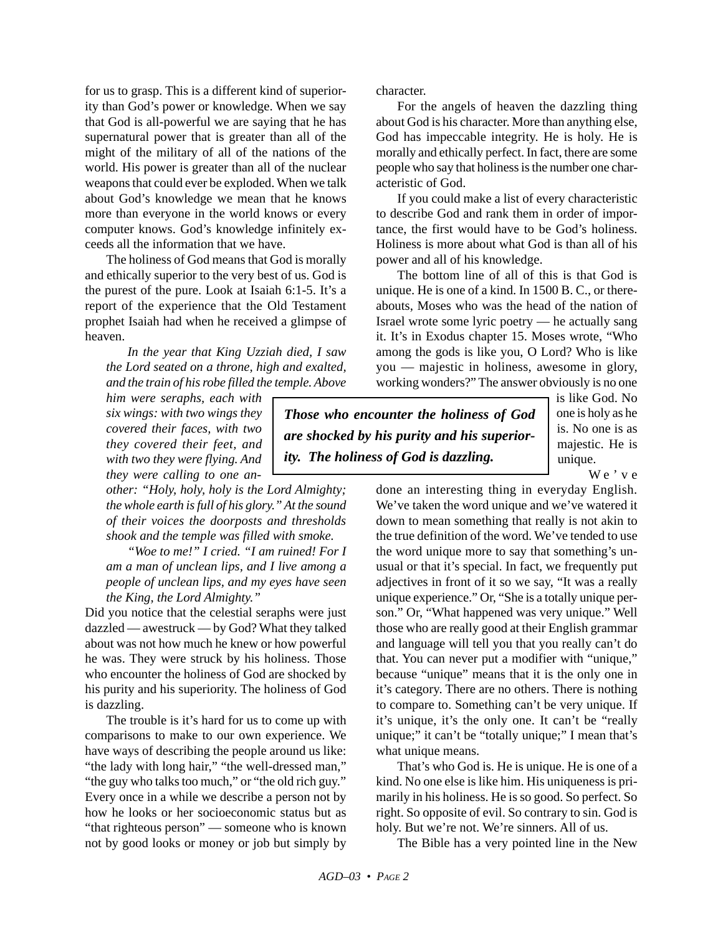for us to grasp. This is a different kind of superiority than God's power or knowledge. When we say that God is all-powerful we are saying that he has supernatural power that is greater than all of the might of the military of all of the nations of the world. His power is greater than all of the nuclear weapons that could ever be exploded. When we talk about God's knowledge we mean that he knows more than everyone in the world knows or every computer knows. God's knowledge infinitely exceeds all the information that we have.

The holiness of God means that God is morally and ethically superior to the very best of us. God is the purest of the pure. Look at Isaiah 6:1-5. It's a report of the experience that the Old Testament prophet Isaiah had when he received a glimpse of heaven.

*In the year that King Uzziah died, I saw the Lord seated on a throne, high and exalted, and the train of his robe filled the temple. Above*

*him were seraphs, each with six wings: with two wings they covered their faces, with two they covered their feet, and with two they were flying. And they were calling to one an-*

*other: "Holy, holy, holy is the Lord Almighty; the whole earth is full of his glory." At the sound of their voices the doorposts and thresholds shook and the temple was filled with smoke.*

*"Woe to me!" I cried. "I am ruined! For I am a man of unclean lips, and I live among a people of unclean lips, and my eyes have seen the King, the Lord Almighty."*

Did you notice that the celestial seraphs were just dazzled — awestruck — by God? What they talked about was not how much he knew or how powerful he was. They were struck by his holiness. Those who encounter the holiness of God are shocked by his purity and his superiority. The holiness of God is dazzling.

The trouble is it's hard for us to come up with comparisons to make to our own experience. We have ways of describing the people around us like: "the lady with long hair," "the well-dressed man," "the guy who talks too much," or "the old rich guy." Every once in a while we describe a person not by how he looks or her socioeconomic status but as "that righteous person" — someone who is known not by good looks or money or job but simply by character.

For the angels of heaven the dazzling thing about God is his character. More than anything else, God has impeccable integrity. He is holy. He is morally and ethically perfect. In fact, there are some people who say that holiness is the number one characteristic of God.

If you could make a list of every characteristic to describe God and rank them in order of importance, the first would have to be God's holiness. Holiness is more about what God is than all of his power and all of his knowledge.

The bottom line of all of this is that God is unique. He is one of a kind. In 1500 B. C., or thereabouts, Moses who was the head of the nation of Israel wrote some lyric poetry — he actually sang it. It's in Exodus chapter 15. Moses wrote, "Who among the gods is like you, O Lord? Who is like you — majestic in holiness, awesome in glory, working wonders?" The answer obviously is no one

*Those who encounter the holiness of God are shocked by his purity and his superiority. The holiness of God is dazzling.*

is like God. No one is holy as he is. No one is as majestic. He is unique.

We've

done an interesting thing in everyday English. We've taken the word unique and we've watered it down to mean something that really is not akin to the true definition of the word. We've tended to use the word unique more to say that something's unusual or that it's special. In fact, we frequently put adjectives in front of it so we say, "It was a really unique experience." Or, "She is a totally unique person." Or, "What happened was very unique." Well those who are really good at their English grammar and language will tell you that you really can't do that. You can never put a modifier with "unique," because "unique" means that it is the only one in it's category. There are no others. There is nothing to compare to. Something can't be very unique. If it's unique, it's the only one. It can't be "really unique;" it can't be "totally unique;" I mean that's what unique means.

That's who God is. He is unique. He is one of a kind. No one else is like him. His uniqueness is primarily in his holiness. He is so good. So perfect. So right. So opposite of evil. So contrary to sin. God is holy. But we're not. We're sinners. All of us.

The Bible has a very pointed line in the New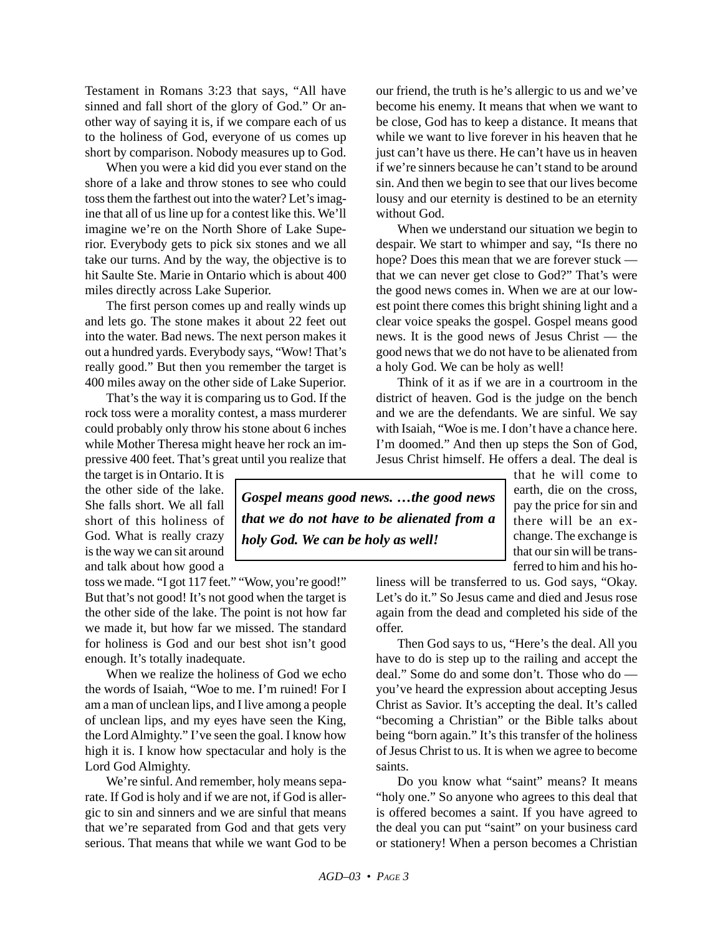Testament in Romans 3:23 that says, "All have sinned and fall short of the glory of God." Or another way of saying it is, if we compare each of us to the holiness of God, everyone of us comes up short by comparison. Nobody measures up to God.

When you were a kid did you ever stand on the shore of a lake and throw stones to see who could toss them the farthest out into the water? Let's imagine that all of us line up for a contest like this. We'll imagine we're on the North Shore of Lake Superior. Everybody gets to pick six stones and we all take our turns. And by the way, the objective is to hit Saulte Ste. Marie in Ontario which is about 400 miles directly across Lake Superior.

The first person comes up and really winds up and lets go. The stone makes it about 22 feet out into the water. Bad news. The next person makes it out a hundred yards. Everybody says, "Wow! That's really good." But then you remember the target is 400 miles away on the other side of Lake Superior.

That's the way it is comparing us to God. If the rock toss were a morality contest, a mass murderer could probably only throw his stone about 6 inches while Mother Theresa might heave her rock an impressive 400 feet. That's great until you realize that

the target is in Ontario. It is the other side of the lake. She falls short. We all fall short of this holiness of God. What is really crazy is the way we can sit around and talk about how good a

toss we made. "I got 117 feet." "Wow, you're good!" But that's not good! It's not good when the target is the other side of the lake. The point is not how far we made it, but how far we missed. The standard for holiness is God and our best shot isn't good enough. It's totally inadequate.

When we realize the holiness of God we echo the words of Isaiah, "Woe to me. I'm ruined! For I am a man of unclean lips, and I live among a people of unclean lips, and my eyes have seen the King, the Lord Almighty." I've seen the goal. I know how high it is. I know how spectacular and holy is the Lord God Almighty.

We're sinful. And remember, holy means separate. If God is holy and if we are not, if God is allergic to sin and sinners and we are sinful that means that we're separated from God and that gets very serious. That means that while we want God to be our friend, the truth is he's allergic to us and we've become his enemy. It means that when we want to be close, God has to keep a distance. It means that while we want to live forever in his heaven that he just can't have us there. He can't have us in heaven if we're sinners because he can't stand to be around sin. And then we begin to see that our lives become lousy and our eternity is destined to be an eternity without God.

When we understand our situation we begin to despair. We start to whimper and say, "Is there no hope? Does this mean that we are forever stuck that we can never get close to God?" That's were the good news comes in. When we are at our lowest point there comes this bright shining light and a clear voice speaks the gospel. Gospel means good news. It is the good news of Jesus Christ — the good news that we do not have to be alienated from a holy God. We can be holy as well!

Think of it as if we are in a courtroom in the district of heaven. God is the judge on the bench and we are the defendants. We are sinful. We say with Isaiah, "Woe is me. I don't have a chance here. I'm doomed." And then up steps the Son of God, Jesus Christ himself. He offers a deal. The deal is

that he will come to earth, die on the cross, pay the price for sin and there will be an exchange. The exchange is that our sin will be transferred to him and his ho-

liness will be transferred to us. God says, "Okay. Let's do it." So Jesus came and died and Jesus rose again from the dead and completed his side of the offer.

Then God says to us, "Here's the deal. All you have to do is step up to the railing and accept the deal." Some do and some don't. Those who do you've heard the expression about accepting Jesus Christ as Savior. It's accepting the deal. It's called "becoming a Christian" or the Bible talks about being "born again." It's this transfer of the holiness of Jesus Christ to us. It is when we agree to become saints.

Do you know what "saint" means? It means "holy one." So anyone who agrees to this deal that is offered becomes a saint. If you have agreed to the deal you can put "saint" on your business card or stationery! When a person becomes a Christian

*Gospel means good news. …the good news that we do not have to be alienated from a holy God. We can be holy as well!*